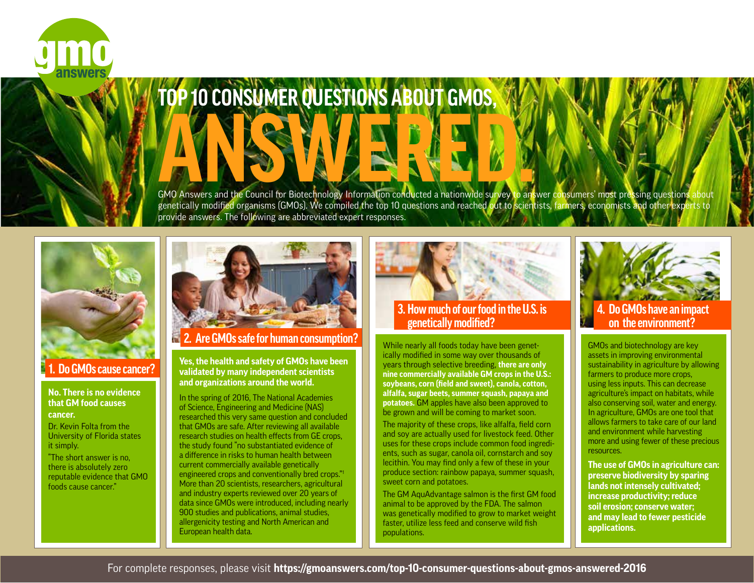

# **TOP 10 CONSUMER QUESTIONS ABOUT GMOS,** GMO Answers and the Council for Biotechnology Information conducted a nationwide survey to answer consumers' most pressing questions about

genetically modified organisms (GMOs). We compiled the top 10 questions and reached out to scientists, farmers, economists and other experts to provide answers. The following are abbreviated expert responses.



### **1. Do GMOs cause cancer?**

#### **No. There is no evidence that GM food causes cancer.**

Dr. Kevin Folta from the University of Florida states it simply.

"The short answer is no, there is absolutely zero reputable evidence that GMO foods cause cancer."



 **2. Are GMOs safe for human consumption?**

**Yes, the health and safety of GMOs have been validated by many independent scientists and organizations around the world.** 

In the spring of 2016, The National Academies of Science, Engineering and Medicine (NAS) researched this very same question and concluded that GMOs are safe. After reviewing all available research studies on health effects from GE crops, the study found "no substantiated evidence of a difference in risks to human health between current commercially available genetically engineered crops and conventionally bred crops."1 More than 20 scientists, researchers, agricultural and industry experts reviewed over 20 years of data since GMOs were introduced, including nearly 900 studies and publications, animal studies, allergenicity testing and North American and European health data.



#### **3. How much of our food in the U.S. is genetically modified?**

While nearly all foods today have been genetically modified in some way over thousands of years through selective breeding, **there are only nine commercially available GM crops in the U.S.: soybeans, corn (field and sweet), canola, cotton, alfalfa, sugar beets, summer squash, papaya and potatoes.** GM apples have also been approved to be grown and will be coming to market soon.

The majority of these crops, like alfalfa, field corn and soy are actually used for livestock feed. Other uses for these crops include common food ingredients, such as sugar, canola oil, cornstarch and soy lecithin. You may find only a few of these in your produce section: rainbow papaya, summer squash, sweet corn and potatoes.

The GM AquAdvantage salmon is the first GM food animal to be approved by the FDA. The salmon was genetically modified to grow to market weight faster, utilize less feed and conserve wild fish populations.



## **4. Do GMOs have an impact on the environment?**

GMOs and biotechnology are key assets in improving environmental sustainability in agriculture by allowing farmers to produce more crops, using less inputs. This can decrease agriculture's impact on habitats, while also conserving soil, water and energy. In agriculture, GMOs are one tool that allows farmers to take care of our land and environment while harvesting more and using fewer of these precious resources.

**The use of GMOs in agriculture can: preserve biodiversity by sparing lands not intensely cultivated; increase productivity; reduce soil erosion; conserve water; and may lead to fewer pesticide applications.**